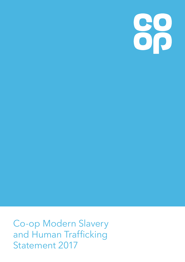88

Co-op Modern Slavery and Human Trafficking **Statement 2017**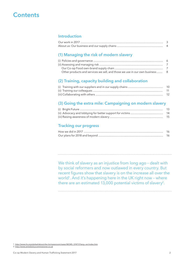# **Contents**

# **Introduction**

# **(1) Managing the risk of modern slavery**

| Other products and services we sell, and those we use in our own business  8 |  |
|------------------------------------------------------------------------------|--|

# **(2) Training, capacity building and collaboration**

| 10 |
|----|
| 11 |
| 12 |

# **(3) Going the extra mile: Campaigning on modern slavery**

| -14 |
|-----|
| 15  |

# **Tracking our progress**

We think of slavery as an injustice from long ago - dealt with by social reformers and now outlawed in every country. But recent figures show that slavery is on the increase all over the world<sup>1</sup>. And it's happening here in the UK right now - where there are an estimated 13,000 potential victims of slavery<sup>2</sup>.

1 http://www.ilo.org/global/about-the-ilo/newsroom/news/WCMS\_574717/lang--en/index.htm

2 http://www.antislaverycommissioner.co.uk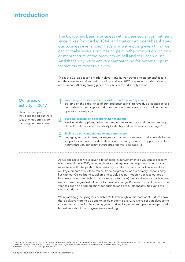# **Introduction**

The Co-op has been a business with a clear social commitment since it was founded in 1844, and that commitment has shaped our business ever since. That's why we're doing everything we can to make sure slavery has no part in the production, growth or manufacture of the products we sell and services we use. And that's why we're actively campaigning for better support for victims of modern slavery.

This is the Co-op's second modern slavery and human trafficking statement<sup>3</sup>. It sets out the steps we've taken during our financial year 2017<sup>4</sup> to prevent modern slavery and human trafficking taking place in our business and supply chains.

## **Our areas of** activity in 2017

Over the past year, we've expanded our work to tackle modern slavery, focusing on three areas

#### Improving processes across our wider, non-food supply chains Building on the experience of our food business to improve due diligence across our businesses and supply chains for the goods and services we use in our own

#### Building capacity and collaborating for change

operations - see page 8

Working with suppliers, colleagues and others to improve their understanding of modern slavery, and their ability to identify and tackle issues - see page 10

#### Scaling up our campaigning on modern slavery

Engaging with politicians, colleagues and other businesses to help provide better support for victims of modern slavery, and offering more work opportunities for victims through our Bright Future programme - see page 13

As we did last year, we've given a lot of detail in our Statement so you can see exactly what we've done in 2017, including how we did against the targets we set ourselves, as we believe this helps show how seriously we take the issue. In particular we draw out key elements of our food ethical trade programme, as our primary responsibility lies with our Co-op brand suppliers and supply chains - not only because our food business accounts for 74% of our business (by turnover), but also because this is where we can have the greatest influence for positive change. But a real focus of our work this year has been on bringing our wider business and procurement activities up to the same standards.

We're making great progress, which we'll talk through in this Statement. But we know there's always more to be done to tackle modern slavery, so we've set ourselves some challenging targets for the coming years, and we'll continue to report in an open and honest way about the progress we are making.

3 The terms 'Co-op Group', 'Group' or 'Co-op' are all used to refer to the Co-operative Group Limited, which consists of Co-operative Group Food Limited, Funeral Services<br>Limited, Co-operatives E-Store Limited, Co-operativ

4 Financial year (53 weeks) ending 6 January 2018.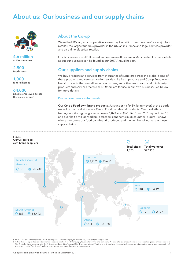# **About us: Our business and our supply chains**



**4.6 million active members** 

**2,500 food stores** 

**1,000 funeral homes** 

**64,000 people employed across the Co-op Group<sup>5</sup>**

# **About the Co-op**

We're the UK's largest co-operative, owned by 4.6 million members. We're a major food retailer, the largest funerals provider in the UK, an insurance and legal services provider and an online electrical retailer.

Our businesses are all UK based and our main offices are in Manchester. Further details about our business can be found in our 2017 Annual Report.

# **Our suppliers and supply chains**

We buy products and services from thousands of suppliers across the globe. Some of these products and services are for re-sale - like fresh produce and Co-op Food ownbrand products that we sell in our food stores, and other own-brand and third-party products and services that we sell. Others are for use in our own business. See below for more details.

#### **Products and services for re-sale**

**Our Co-op Food own-brand products.** Just under half (48% by turnover) of the goods we sell in our food stores are Co-op Food own-brand products. Our food ethical trading monitoring programme covers 1,873 sites (891 Tier 1 and 982 beyond Tier 16) and over half a million workers, across six continents in 68 countries. Figure 1 shows where we source our food own-brand products, and the number of workers in those supply chains.



5 In 2017 we directly employed 64,129 colleagues, and also employed around 500 contractors via agencies.

6 A Tier 1 site is a production site where goods are finished, ready for supply to, or sale by, the end company. A Tier 2 site is a production site that supplies goods or materials to a<br>Tier 1 site for incorporation into t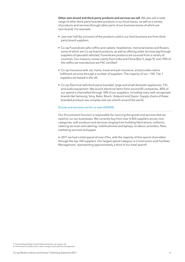Other own-brand and third-party products and services we sell. We also sell a wide range of other third-party branded products in our food stores, as well as a variety of products and services through other parts of our business (some of which are own-brand). For example:

- Just over half (by turnover) of the products sold in our food business are from thirdparty brand suppliers.
- Co-op Funeralcare sells coffins and caskets, headstones, memorial stones and flowers, some of which are Co-op brand products, as well as offering wider services (eg through suppliers of specialist vehicles). Funeralcare products are sourced from a variety of countries. Our masonry comes mainly from India and China (Box 3, page 9); over 95% of the coffins we manufacture are FSC certified<sup>7</sup>.
- Co-op Insurance sells car, home, travel and pet insurance, and provides claims fulfilment services through a number of suppliers. The majority of our ~150 Tier 1 suppliers are based in the UK.
- Co-op Electrical sells third-party branded, large and small domestic appliances, TVs and audio equipment. We source electrical items from around 85 companies. 80% of our spend is channelled through 18% of our suppliers, including many well-recognised brands like Samsung, Sony, Beko, Bosch, Hotpoint and Dyson. Supply chains of these branded products are complex and can stretch around the world.

#### Goods and services not for re-sale (GSNFR)

Our Procurement function is responsible for sourcing the goods and services that we need to run our businesses. We currently buy from over 4,400 suppliers across nine categories, with products and services ranging from building fabrications, uniforms, cleaning services and catering, mobile phones and laptops, to labour providers, fleet, marketing services and paper.

In 2017 we had a total spend of over £1bn, with the majority of that spend channelled through the top 100 suppliers. Our largest spend category is Construction and Facilities Management, representing approximately a third of our total spend<sup>8</sup>.

<sup>7</sup> Forest Stewardship Council (http://www.fsc-uk.org/en-uk).

<sup>8</sup> This doesn't include rents, rates, energy and property management.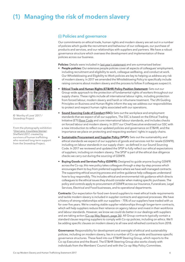# (1) Managing the risk of modern slavery



© 'Worthy of Love' 2017 / Snowdrop Project

From the photography exhibition 'One Lens, Countless Stories', Sheffield 2017, created by survivors of human trafficking who received long-term support from the Snowdrop Project.

# (i) Policies and governance

Our commitments on ethical trade, human rights and modern slavery are set out in a number of policies which guide the recruitment and behaviour of our colleagues, our purchase of products and services, and our relationships with suppliers and partners. We have a robust governance structure which oversees the development and implementation of these policies across our business.

Policies: Details were included in last year's statement and are summarised below:

- People policies: Our extensive people policies cover all aspects of colleagues' employment, including recruitment and eligibility to work, colleague wellbeing, and conduct at work. Our Whistleblowing and Eligibility to Work policies are key to helping us address any risk of modern slavery. In 2017 we amended the Whistleblowing Policy to specifically include raising concerns about modern slavery and the process to follow if colleagues suspect it.
- Ethical Trade and Human Rights (ET&HR) Policy Position Statement: Sets out our  $\bullet$ Group-wide approach to the protection of fundamental rights of workers throughout our supply chains. These rights include all international labour rights, including protection from forced labour, modern slavery and harsh or inhumane treatment. The UN Guiding Principles on Business and Human Rights inform the way we address our responsibilities to protect and respect human rights associated with our operations.
- Sound Sourcing Code of Conduct (SSC): Sets out the workplace and employment standards that we expect of all our suppliers, The SSC is based on the Ethical Trading Initiative (ETI) Base Code and core international labour standards, and includes checks on forced labour and modern slavery. In 2017 our Chief Executive endorsed our SSC with a new introduction to reflect our updated policies and governance on ET&HR, and the importance we place on protecting and respecting workers' rights in supply chains.
- Sustainable Procurement and Supplier Policy (SPSP): Sets out the sustainability and ethical standards we expect of our suppliers of goods and services not for resale (GSNFR), including on labour standards in our supply chain - as defined in our Sound Sourcing Code. In 2017 we reviewed and updated the SPSP to fully reflect our ethical expectations of suppliers, including on modern slavery. The SPSP is part of the ethical due diligence checks we carry out during the sourcing of GSNFR.
- Buying Goods and Services Policy (GSNFR): Designed to guide anyone buying GSNFR across the Co-op, this new policy takes colleagues through a step-by-step process which encourages them to buy from preferred suppliers where we have well-managed contracts. The supporting ethical sourcing process and online quidance help colleagues understand how to buy responsibly. This includes ethical and environmental risk guidance which directs colleagues to the ethical issues they should consider when making specific purchases. The policy and controls apply to procurement of GSNFR across our Insurance, Funeralcare, Legal Services, Electrical and Food businesses, and to operational departments.

**Contracts:** Our expectation for food own-brand suppliers to meet ethical trade requirements and tackle modern slavery is included in supplier contracts and approval processes. We have a history of strong relationships with our suppliers - 75% of our suppliers have traded with us for over five years. We're creating stable supplier relationships through longer-term contracts, which will help suppliers reduce their reliance on agency labour and invest in their workforce and labour standards. However, we know we could do better in our dealings with suppliers and are taking action (Co-op Way Report, page 36). All Group contracts typically contain a standard clause requiring suppliers to comply with Co-op policies, including on ethics. We'll be adding specific clauses on modern slavery to all new and refreshed contracts from 2018.

Governance: Responsibility for development and oversight of ethical and sustainability policies, including on modern slavery, lies in a number of Co-op-wide and business-specific governance structures. These feed into our ET&HR Steering Group, which reports to the Co-op Executive and the Board. The ET&HR Steering Group also works closely with individuals from the Members' Council and with the Co-op Way Policy Committee.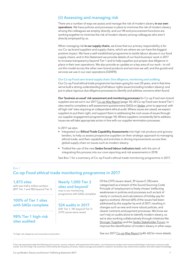# **(ii) Assessing and managing risk**

There are a number of ways we assess and manage the risk of modern slavery in our own **operations**. We have policies and processes in place to minimise the risk of modern slavery among the colleagues we employ directly, and our HR and procurement functions are working together to minimise the risk of modern slavery among colleagues who aren't directly employed by us.

When managing risk in our supply chains, we know that our primary responsibility is for our Co-op brand suppliers and supply chains, which are where we can have the biggest positive impact. We have a well-established programme to tackle labour abuses in our food supply chains, and in this Statement we provide details of our food business' work in 2017 to increase transparency beyond Tier 1 and to help suppliers put proper due diligence in place in their own operations. We also provide an update on a key area of our work - to roll out this model across the other own-brand products and services we sell, and the goods and services we use in our own operations (GSNFR).

#### **Our Co-op Food own-brand supply chain: Due diligence, monitoring and auditing**

Our Co-op Food ethical trade programme has been going for over 20 years, and in that time we've built a strong understanding of all labour rights issues (including modern slavery), and put in place rigorous due diligence processes to identify and address concerns when found.

**Our 'business as usual' risk assessment and monitoring processes** for Co-op Food own-brand suppliers are set out in our 2017 Co-op Way Report (page 14). All Co-op Food own-brand Tier 1 sites need to complete a self-assessment questionnaire (SAQ) on Sedex, prior to approval, with all high-risk<sup>9</sup> sites requiring an independent ethical audit. Where issues are raised, we expect suppliers to put them right, and support them in addressing the root cause of issues through our supplier engagement programme (page 10). Where suppliers consistently fail to address issues we will take appropriate action in line with our supplier termination processes.

In 2017 we also:

- Integrated our **Ethical Trade Capability Assessments** into high risk produce and grocery tenders, to help us assess prospective suppliers on their strategic approach to managing ethical trade, and their capability and activities in driving improvements across their global supply chain on issues such as modern slavery.
- Trialled the use of the new **Sedex forced labour indicators tool**, with the aim of integrating this process into our core reporting and risk assessments in 2018.

See Box 1 for a summary of Co-op Food's ethical trade monitoring programme in 2017.

### Box 1 **Co-op Food ethical trade monitoring programme in 2017**

#### **1,873 sites**

with over half a million workers (891 Tier 1 and 982 beyond Tier 1)

### **100% of Tier 1 sites with SAQs complete**

### **98% Tier 1 high-risk sites audited**

## **Nearly 1,000 Tier 2 sites and beyond\***

now in our monitoring programme with SAQs complete

#### **524 audits in 2017** (341 Tier 1, 181 beyond Tier 1)

2,975 issues were raised

Of the 2,975 issues raised, 39 issues (1.3%) were categorised as a breach of the Sound Sourcing Code Principle of 'employment is freely chosen' (reflecting weaknesses in policies and processes such as lack of clarity in contracts and calculations of holiday pay for agency workers). Almost 60% of the issues had been addressed by the supplier by end of 2017, resulting in changes such as new and more robust policies, and clearer contracts and payment processes. We know we can't rely on audits alone to identify modern slavery, so we're also working collaboratively through initiatives like Stronger Together and the Sedex Stakeholder Forum, to improve the identification of modern slavery in other ways.

\*In high-risk categories such as produce and protein.

See our 2017 Co-op Way Report (p40-42) for more details.

9 Our risk assessment takes the following into account: country, industry, self-assessment information, use of temporary workers and commercial/strategic importance, previous audit results. Our list of high-risk countries is informed by the frequency of issues, media coverage and academic research, local labour law, enforcement systems and other expert knowledge.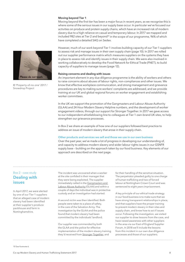#### Moving beyond Tier 1

Moving beyond the first tier has been a major focus in recent years, as we recognise this is where some of the serious issues in our supply base occur. In particular we've focused our activities on produce and protein supply chains, which have an increased risk of modern slavery due to a high reliance on casual and temporary labour. In 2017 we mapped and included 982 sites at Tier 2 and beyond<sup>10</sup> in the scope of our programme, 96% of which have completed a detailed SAQ on Sedex.

However, much of our work beyond Tier 1 involves building capacity of our Tier 1 suppliers to assess risk and manage issues in their own supply chain (page 10). In 2017 we rolled out our supplier performance matrix which measures suppliers on the systems they have in place to assess risk and identify issues in their supply chain. We were also involved in working collaboratively to develop the Food Network for Ethical Trade (FNET), to build capacity of suppliers to manage issues (page 12).

#### Raising concerns and dealing with issues

An important element in any due diligence programme is the ability of workers and others to raise concerns about abuses of labour rights, non-compliances and other issues. We know that effective workplace communication, and strong management and grievance procedures are key to making sure workers' complaints are addressed, and we provide training at our UK and global regional forums on worker engagement and establishing worker committees.

In the UK we support the promotion of the Gangmasters and Labour Abuse Authority (GLAA) and 24 Hour Modern Slavery Helpline numbers, and the development of worker engagement videos, through our support for Stronger Together. In 2017 we gave access to our independent whistleblowing line to colleagues at Tier 1 own-brand UK sites, to help strengthen our grievance processes.

In Box 2 we share an example of how one of our suppliers followed best practice to address an issue of modern slavery that arose in their supply chain.

#### Other products and services we sell and those we use in our own business

Over the past year, we've made a lot of progress in developing our understanding of, and capacity to address modern slavery and wider labour rights issues in our GSNFR supply base - building on the approach taken by our food business. Key elements of our approach are described on the next page.

### Box 2 - case study **Dealing with** issues

In April 2017, we were alerted by one of our Tier 1 suppliers that an alleged case of modern slavery had been identified at their supplier's produce packhouse and farm in Nottinghamshire.

The incident was uncovered when a worker at the site confided in their manager that they were being exploited. The supplier immediately called in the Gangmasters and Labour Abuse Authority (GLAA) and within a couple of days the individual was in protective custody and an investigation had started.

A second victim was then identified. Both people were taken to a place of safety, in the care of the Salvation Army. The investigation by the GLAA and the police found that modern slavery had been committed by the individuals' landlord.

Our supplier was commended by both the GLAA and the police for effective implementation of the modern slavery training they'd received from Stronger Together, and

for their handling of the sensitive situation. The perpetrator pleaded quilty to one charge of human trafficking and two of forced labour at Nottingham Crown Court and was sentenced to eight years imprisonment.

A key principle of our ethical trade strategy in our food business is to make sure that we have strong transparent relationships in place, and that suppliers have the proper training to prevent modern slavery in their sites and supply chain, and know how to act if issues occur. Following the investigation, we visited our supplier to draw lessons from the case, and have raised awareness with other suppliers in the area via our East of England Supplier Forum. In 2018 we'll include the lessons from this incident in our own due diligence processes and those of our suppliers.



© 'Property-of-no-one' 2017 / Snowdrop Project

10 See footnote 6.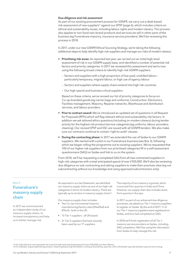#### Due diligence and risk assessment

As part of our existing procurement process for GSNFR, we carry out a desk-based risk assessment of new suppliers<sup>11</sup> against our SPSP (page 6), which includes criteria on ethical and sustainability issues, including labour rights and modern slavery. This process also applies to non-food own-brand products and services we sell in other parts of the business (eq Funeralcare masonry, insurance service providers). We'll be reviewing this process in 2018.

In 2017, under our new GSNFR Ethical Sourcing Strategy, we're taking the following additional steps to help identify high-risk suppliers and manage our risks of modern slavery:

- Prioritising risk areas: As reported last year, we carried out an initial high-level assessment of risk in our GSNFR supply base, and identified a number of potential risk factors and priority categories. In 2017 we reviewed this assessment and we're now using the following broad criteria to identify high-risk GSNFR suppliers:
	- Sectors and suppliers with a high proportion of low-paid, unskilled labourparticularly temporary, migrant labour, or high use of agency labour
	- Sectors and suppliers where supply chains extend into high risk countries
	- Our high-spend and business critical suppliers

Based on these criteria, we've revised our list of priority categories to focus on: Co-op branded goods (eg carrier bags and uniforms), Construction, Electronics, Facilities management, Masonry, Repairer networks, Warehouse and distribution services, and labour providers.

- Prior to contract award: We've introduced an updated set of questions in all Request for Proposals (RFPs) which will flag relevant ethical and sustainability risk factors. In addition we ask tailored ethics questions (including on modern slavery) during tender activity for the highest risk product/service categories (eg uniforms, labour providers, cleaning). Our revised SPSP and SSC are issued with all GSNFR tenders. We also make sure our contracts continue to contain 'right to audit' clauses.
- During the contracting phase: In 2017 we extended the use of Sedex to our GSNFR suppliers. We started with a pilot in our Funeralcare business (see Box 3), following which we began rolling the programme out to existing suppliers. We've requested that 100 of our higher-risk suppliers from our prioritised categories fill in a self-assessment questionnaire (SAQ) on Sedex and link to us on the system.

From 2018, we'll be requesting a completed SAQ from all new contracted suppliers in high-risk categories with a total anticipated spend of over £100,000. We'll also be reviewing due diligence on sub-contracting and asking suppliers to make their practices clear (eg not subcontracting without our knowledge and using approved subcontractors only).

# $Box$  3 **Funeralcare's** masonry supply chain

In 2017 we commissioned an independent study of our masonry supply chains, to increase transparency and help us to better manage risk.

As reported in our last Statement, we identified our masonry supply chains as one of our high-risk categories in terms of modern slavery. There are typically up to six tiers in masonry supply chains<sup>12</sup>.

Our masonry supply chain includes:

- Two Co-op monumental masonry manufacturing/factory sites (Shieldhall and Efford) - both in the UK.
- 13 Tier 1 suppliers all UK based.
- 21 Tier 2 suppliers that have recently been used by our T1 suppliers.

The majority of our masonry is granite, which is sourced from quarries in India and China. However, our supply chain also includes stone from quarries in Europe.

In 2017, as part of our enhanced due diligence processes, we asked our Tier 1 masonry suppliers to register on Sedex. By the end of 2017, 11 of our Tier 1 masonry suppliers were registered on Sedex, and four had completed an SAQ.

In 2018 we'll finish registration of all Tier 1 masonry service providers on Sedex, including SAQ completion. We'll be using the information from Sedex to help manage this risk.

12 For example, engraving/finishing product, importing/exporting wholesalers, cutting and polishing, quarries, with a wholesaler typically between quarries and cutting.

<sup>11</sup> For high ethical or environmental risk contracts with total anticipated spend of over £100,000 over their lifetime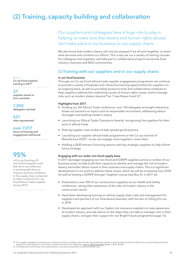# **(2) Training, capacity building and collaboration**

Our suppliers and colleagues have a huge role to play in helping us make sure that slavery and human rights abuses don't take place in our business or our supply chains.

We also know that modern slavery will only be stopped if we all work together, to share what we know and combine our efforts. This is why we run a variety of training courses for colleagues and suppliers, and take part in collaborative projects across the food industry, business and NGO communities.

# **(i) Training with our suppliers and in our supply chains**

#### **In our food business**

Through our Co-op Food ethical trade supplier engagement programme, we continue to provide a variety of bespoke and interactive training opportunities for suppliers on an ongoing basis, as well as providing access to tools and collaborative initiatives to help suppliers address the underlying causes of human rights issues, and to manage risks such as modern slavery beyond Tier 1 (see Boxes 4 and 5)<sup>13</sup>.

#### **Highlights from 2017**

- Holding our 5th Ethical Trade conference: over 150 delegates and eight interactive break-out sessions on topics such as responsible recruitment, addressing labour shortages and tackling modern slavery
- Launching our Ethical Trade Champions Awards, recognising five suppliers for their work in ethical trade
- Sharing supplier case studies to help spread good practice
- Launching our supplier ethical trade programme on the Co-op channel of Manufacture 2030<sup>14</sup>, so we can engage more suppliers, more often
- Holding a 2020 Horizon Scanning session with key strategic suppliers to help inform future strategy

#### **Engaging with our wider non-food supply base**

In 2017 we began engaging our non-food and GSNFR suppliers across a number of our business areas, to help build their capacity to identify and manage the risk of modern slavery and wider labour issues in their business and supply chains. This is a significant development in our work to address these issues, which we will be increasing from 2018. As well as hosting a GSNFR Stronger Together course (see Box 5), in 2017 we:

- Presented to over 350 of our construction suppliers at our Health and Safety conference, raising their awareness of the risks of modern slavery in the construction sector
- Have been developing training on ethical supply chain risks and management for suppliers and partners of our funeralcare business, with the aim of rolling this out in 2018
- Developed an approach with our higher-risk insurance suppliers to raise awareness of modern slavery, provide advice on the steps they can take to manage risks in their supply chains, and gain their support for our Bright Future programme (page 13).

 $Box 4$ **Co-op Food supplier training in 2017**

. . . . . . . . . . . . . . . . . . . .

### **27**

**supplier events in four countries**

**1,005 delegates reached** 

**621 sites represented** 

### **over 7,017**

**hours of training and engagement delivered**

# **95%**

of Co-op Food top 35 own-brand suppliers said that we're very effective in working with them to improve working conditions in the supply chain compared to other customers (Co-op Food Ethical Trade Supplier Survey 2017).

<sup>13</sup> Our supplier engagement programme includes running our strategic ethical trade forums with key suppliers; hosting regional ethical trade forums; and providing individual<br>support for new suppliers in our protein, produc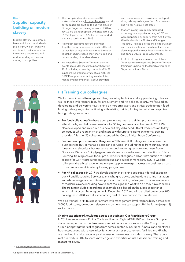# $Box 5$ **Supplier capacity building on modern slavery**

Modern slavery is a complex issue which can be hidden in plain sight, which is why we continue to put a lot of effort into raising awareness and understanding of the issue among our suppliers.

- The Co-op is a founder sponsor of UK stakeholder alliance Stronger Together, and all our suppliers are entitled to one free place on Stronger Together training sessions. 100% of key Co-op brand suppliers with sites in the UK (729 delegates from 252 sites) have attended a training session since 2013.
- An impact assessment of the Stronger Together programme carried out in 2017 told us that 96% of respondents agreed Stronger Together had increased their knowledge and understanding of modern slavery<sup>15</sup>.
- We hosted five Stronger Together training events at our Manchester Support Centre in 2017, including a one-day course for GSNFR suppliers. Approximately 20 of our high-risk GSNFR suppliers - including from facilities management companies, labour providers

and insurance service providers - took part alongside key colleagues from Procurement and higher-risk business areas.

- Modern slavery is regularly discussed at our regional supplier forums; in 2017 we were supported by experts from Anti-Slavery West Midlands, the GLAA and Stronger Together. Training on responsible recruitment and the elimination of recruitment fees was also integrated into our Food Strategic Forum and annual Ethical Trade Conference.
- In 2017 colleagues from our Food Ethical Trade team also supported Stronger Together training in Spain, and the launch of Stronger Together in South Africa.

# **(ii) Training our colleagues**

We focus our internal training on colleagues in key technical and supplier-facing roles, as well as those with responsibility for procurement and HR policies. In 2017, we focused on developing and delivering new training on modern slavery and ethical trade for non-food buying colleagues, while continuing with existing training for key technical and supplierfacing colleagues in Food.

- For food colleagues: We have a comprehensive internal training programme on ethical trade, and held seven sessions for 56 key commercial colleagues in 2017. We also developed and rolled out our new half-day Advanced Ethical Trade session to key colleagues who regularly visit and interact with suppliers, using an external training provider. A further 25 colleagues attended the Co-op Ethical Trade Conference.
- For non-food procurement colleagues: In 2017 over 350 colleagues from across the business who buy or manage goods and services - including those from our insurance, funerals and electricals businesses - attended a training session on our new Buying Goods and Services Policy (page 6). We also ran a more focused 'Introduction to Ethical Sourcing' training session for 40 procurement colleagues, and an 'Introduction to Sedex' session for GSNFR procurement colleagues and supplier managers. In 2018 we'll be rolling out the ethical sourcing training to supplier managers across the business as part of our Procurement Academy training programme.
- **For HR colleagues:** In 2017 we developed online training specifically for colleagues in our HR and Resourcing Services teams who give advice and guidance to line managers and who manage our recruitment process. The training is designed to raise awareness of modern slavery, including how to spot the signs and what to do if they have concerns. The training includes recordings of example calls based on the types of scenarios which might occur. Training began in December 2017 and will be rolled out to over 200 colleagues in 2018, as well as becoming part of the induction for new starters.

We also trained 15 HR Business Partners with management-level responsibility across over 3,000 food stores, on modern slavery and on how they can support Bright Future (page 13) as it expands.

### **Sharing experience/knowledge across our business: Our Practitioners Group**

In 2017 we set up a new Ethical Trade and Human Rights (ET&HR) Practitioners Group to share our expertise on modern slavery and wider labour issues across the Co-op. The Group brings together colleagues from across our food, insurance, funerals and electricals businesses, along with those in key functions such as procurement, facilities and HR who are involved in ethical sourcing and increasing awareness of modern slavery. The group met quarterly in 2017 to share knowledge and expertise on risk assessment, training and managing issues.

15 http://stronger2gether.org/resources/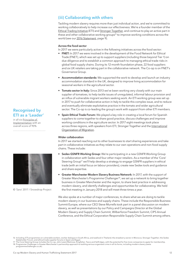# **(iii) Collaborating with others**

Tackling modern slavery requires more than just individual action, and we're committed to working collaboratively to help increase our effectiveness. We're a founder member of the Ethical Trading Initiative (ETI) and Stronger Together, and continue to play an active part in these and other collaborative working groups<sup>16</sup> to improve working conditions across the world (see our 2016 Statement, page 9).

#### **Across the food sector**

In 2017 we were particularly active in the following initiatives across the food sector:

- FNET: In 2017 we were involved in the development of the Food Network for Ethical Trade (FNET), which was set up to support suppliers (including those beyond Tier 1) on due diligence and to establish a common approach to managing ethical trade risks in global food supply chains. During its 12-month foundation phase, 22 food suppliers and six UK retailers are taking part in the collaborative network. The Co-op is on FNET's Governance Group.
- **Accommodation standards:** We supported the work to develop and launch an industry accommodation standard in the UK, designed to improve living accommodation for seasonal workers in the agricultural sector.
- **Tomato sector in Italy:** Since 2013 we've been working very closely with our main supplier of tomatoes, to help tackle issues of unrequlated, informal labour provision and an influx of vulnerable migrant workers seeking work. An ETI working group was set up in 2017 to push for collaborative action in Italy to tackle this complex issue, and to reduce and eventually eliminate exploitative practice in the tomato and wider agricultural sector. The Co-op is co-leading the group's work with support from other ETI members.
- **Spain Ethical Trade Forum:** We played a key role in creating a local forum for Spanish suppliers to come together to share good practice, discuss challenges and improve working conditions in the agriculture sector. In 2017 eight meetings took place across three regions, with speakers from ETI, Stronger Together and the International Organization of Migration.

#### **Wider collaboration**

In 2017 we started reaching out to other businesses to start sharing experiences and take part in collaborative initiatives as they relate to our own operations and non-food supply chains. These include:

- **Sedex GSNFR Working Group:** We're participating in a new GSNFR Working Group in collaboration with Sedex and four other major retailers. As a member of the 'Core' Steering Group<sup>17</sup> we'll help develop a strategy to engage GSNFR suppliers in ethical trade (with an initial focus on labour providers), create new Sedex tools and guidance and share expertise.
- Greater Manchester Modern Slavery Business Network: In 2017, with the support of Greater Manchester's Programme Challenger<sup>18</sup>, we set up a network to bring together business in Greater Manchester and the region, to share best practice in addressing modern slavery, and identify challenges and opportunities for collaborating. We held the first meeting in January 2018 and will meet three times a year.

We also spoke at a number of major conferences, to share what we are doing to tackle modern slavery in our business and supply chains. These include the Responsible Business Summit Europe, where our CEO Steve Murrells took part in a panel discussion on modern slavery, as well as presentations by our Policy and Campaigns Director at the Global Modern Slavery and Supply Chain Summit, Wilberforce Freedom Summit, CIPS Annual Conference, and the Ethical Corporation Responsible Supply Chain Summit among others.

3D Programme Challenger is Greater Manchester's partnership approach to tackling serious organised crime in all its forms, including modern slavery (www.<br>programmechallenger.co.uk).

# **ETI as a 'Leader'** in all six Principles of

Implementation with an overall score of 90%

**Recognised by** 



© 'Sara' 2017 / Snowdrop Project

<sup>16</sup> Including: ETI programmes on vulnerable workers, worker dialogue in South Africa, and seafood in Thailand: the strawberry sector in Morocco; Stronger Together; the Sedex Stakeholder Forum; and ethical trade supplier forums in Spain and Egypt.<br>17 The Core Steering Group includes the Co-op, John Lewis/Waitrose, Kingfisher, Tesco and Selfridges, with the potential for five more companies to a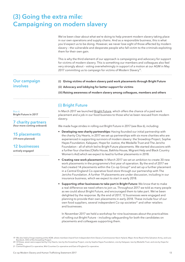# (3) Going the extra mile: **Campaigning on modern slavery**

|                                 | We've been clear about what we're doing to help prevent modern slavery taking place<br>in our own operations and supply chains. And as a responsible business, this is what<br>you'd expect us to be doing. However, we never lose sight of those affected by modern<br>slavery - the vulnerable and desperate people who fall victim to the criminals exploiting<br>them for their own gain. |
|---------------------------------|-----------------------------------------------------------------------------------------------------------------------------------------------------------------------------------------------------------------------------------------------------------------------------------------------------------------------------------------------------------------------------------------------|
|                                 | This is why the third element of our approach is campaigning and advocacy for support<br>for victims of modern slavery. This is something our members and colleagues also feel<br>very strongly about - voting overwhelmingly in support of a motion at our AGM in May<br>2017 committing us to campaign for victims of Modern Slavery <sup>19</sup> .                                        |
| <b>Our campaign</b><br>involves | Giving victims of modern slavery paid work placements through Bright Future                                                                                                                                                                                                                                                                                                                   |
|                                 | (ii) Advocacy and lobbying for better support for victims                                                                                                                                                                                                                                                                                                                                     |
|                                 | (iii) Raising awareness of modern slavery among colleagues, members and others                                                                                                                                                                                                                                                                                                                |
|                                 | (i) Bright Future                                                                                                                                                                                                                                                                                                                                                                             |
| Box 6                           | In March 2017 we launched Bright Future, which offers the chance of a paid work                                                                                                                                                                                                                                                                                                               |

 $R$ Bright Future in 2017

 $\sim$ 

# 7 charity partners

(four more coming onboard)

15 placements (19 more planned)

# **12 businesses**

actively engaged

placement and a job in our food business to those who've been rescued from modern slavery.

We made huge strides in rolling out Bright Future in 2017 (see Box 6), including:

- Developing new charity partnerships: Having founded our initial partnership with the charity City Hearts, in 2017 we set up partnerships with six more charities who are experienced in supporting survivors of modern slavery: the Snowdrop Project, Sophie Hayes Foundation, Kalayaan, Hope for Justice, the Medaille Trust and The Jericho Foundation - all of which led to Bright Future placements. We started discussions with a further four charities (Olallo House, Bakhita House, Migrant Help and Black Country Women's Aid) which we expect to lead to further placements in 2018.
- **Creating new work placements:** In March 2017 we set an ambition to create 30 new work placements in the programme's first year of operation. By the end of 2017 we had created 14 placements within the Co-op Group<sup>20</sup> and set up a further placement in a Central England Co-operative food store through our partnership with The Jericho Foundation. A further 19 placements are under discussion, including in our insurance business, which we expect to start in early 2018.
- Supporting other businesses to take part in Bright Future: We know that to make a real difference we need others to join us. Throughout 2017 we told as many people as we could about Bright Future, and encouraged them to take part. We've been delighted by the response. By the end of 2017, 12 businesses were engaged and planning to provide their own placements in early 2018. These include four of our own food suppliers, several independent Co-op societies<sup>21</sup> and other retailers and businesses

In November 2017 we held a workshop for nine businesses about the practicalities of rolling out Bright Future - including safeguarding for both the candidates on placements and colleagues supporting them.

<sup>19</sup> We also held a fringe meeting at the AGM, where members heard from Independent Anti-Slavery Commissioner Keyin Hyland, Major Anne Read of the Salvation Army, and Lara Bundock, CEO of the Snowdrop Project

<sup>20</sup> Of these, seven were supported by City Hearts, two by the Snowdrop Project, one by Sophie Hayes Foundation, one by Kalayaan, two by Medaille Trust, and one by Hope for Justice

<sup>21</sup> Central England Co-operative, Mid-Counties Co-operative and East of England Co-operative.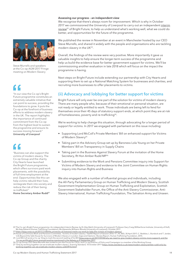#### Assessing our progress - an independent view

We recognise that there's always room for improvement. Which is why in October 2017 we commissioned the University of Liverpool to carry out an independent interim review<sup>22</sup> of Bright Future, to help us understand what's working well, what we could do better, and opportunities for the future of the programme.

We published the review in November at an event in Manchester hosted by our CEO Steve Murrells, and shared it widely with the people and organisations who are tackling modern slavery in the UK<sup>23</sup>.

Overall, the findings of the review were very positive. More importantly it gave us valuable insights to help ensure the longer-term success of the programme and help us build the evidence base for better government support for victims. We'll be commissioning another evaluation in late 2018 which will focus on the impact the programme is having.

Next steps on Bright Future include extending our partnership with City Hearts and supporting them to set up a National Matching System for businesses and charities, and recruiting more businesses to offer placements to victims.

# (ii) Advocacy and lobbying for better support for victims

Bright Future will only ever be one part of the solution for victims of modern slavery. There are many people who, because of their emotional or personal situation, are not ready or legally entitled to work. Those individuals are being left to fend for themselves once their 45 days of statutory support ends, at which point they are at risk of homelessness, poverty and re-trafficking<sup>24</sup>.

We're working to help change this situation, through advocating for a longer period of support for victims. In 2017 we engaged with parliament on this issue including:

- Supporting Lord McColl's Private Members' Bill on enhanced support for Victims of Modern Slavery<sup>25</sup>
- Taking part in the Advisory Group set up by Baroness Lola Young on her Private Members' Bill on Transparency in Supply Chains
- Taking part in the Business Against Slavery Forum at the invitation of the Home Secretary, Rt Hon Amber Rudd MP<sup>26</sup>
- Submitting evidence to the Work and Pensions Committee inquiry into Support for Victims of Modern Slavery and evidence to the Joint Committee on Human Rights inquiry into Human Rights and Business

We also engaged with a number of influential groups and individuals, including the All-Party Parliamentary Group on Human Trafficking and Modern Slavery, Scottish Government Implementation Group on Human Trafficking and Exploitation, Scottish Government Stakeholder Forum, the Office of the Anti-Slavery Commissioner, Anti-Slavery International, Human Trafficking Foundation, The Salvation Army and Unseen.



Steve Murrells and speakers at the Co-op AGM 2017 Fringe meeting on Modern Slavery

"In our view the Co-op's Bright Future programme constitutes an extremely valuable initiative that can point to success, providing the foundations to grow. It puts the Co-op at the forefront of business efforts to address modern slavery in the UK. The report highlights the importance of continued commitment from the Co-op from the highest level to sustain the programme and ensure its success moving forward." **University of Liverpool** 

"Business can also support the victims of modern slavery. The Co-op Group and the charity City Hearts have launched the Bright Future programme, which offers survivors paid work placements, with the possibility of full-time employment at the end. Opportunities like this can help victims rebuild their lives, reintegrate them into society and reduce the risk of their being re-trafficked."

Home Secretary Amber Rudd<sup>27</sup>

<sup>22</sup> The Co-op's Bright Future programme: An independent Interim Review, by Dr Alex Balch (University of Liverpool), Professor Gary Craig (Wilberforce Institute, University of Hull), Ms Kate Roberts (Human Trafficking Foundation), Ms Alexandra Williams-Woods (University of Liverpool), October 2017.<br>23 https://blog.coop.co.uk/2017/11/08/the-university-of-liverpool-marks-our-work-to-help-the-victims-of-m

<sup>24</sup> House of Commons Work and Pensions Committee, Victims of modern slavery: Twelfth Report of Session 2016-17', HC 803, 30 April 2017; C. Beddoe, L. Bundock and T. Jardan,<br>"Life Beyond the Safe House for Survivors of Moder

Law beyond the sale notword on the second reading of his Bill (blog.coop.co.uk/2017/09/08/why-we-need-to-give-modern-slavery-victims-more-support), and the<br>Co-op and Bright Future received positive mentioned in the debate

<sup>26</sup> Co-op Group CEO Steve Murrells was invited to join the Forum for CEOs, and Co-op Director of Policy and Campaigns is a member of the Working Group.<br>27 'Only by working together can we eradicate modern slavery', Evening working-together-can-we-eradicate-modern-slavery-a3654916.html).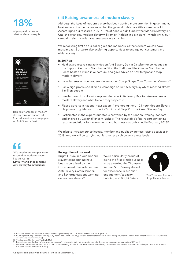8% of people don't know

what modern slavery is



Raising awareness of modern slavery through our advert (placed in national newspapers on Anti-Slavery Day)

# (iii) Raising awareness of modern slavery

Although the issue of modern slavery has been getting more attention in government, business and the media, we know that the general public has little awareness of it. According to our research in 2017, 18% of people didn't know what Modern Slavery is<sup>28</sup>. Until this changes, modern slavery will remain 'hidden in plain sight' - which is why our campaign also includes awareness-raising activities.

We're focusing first on our colleagues and members, as that's where we can have most impact. But we're also exploring opportunities to engage our customers and wider society.

#### In 2017 we:

- Held awareness raising activities on Anti-Slavery Day in October for colleagues in our Support Centre in Manchester. Stop the Traffik and the Greater Manchester Police hosted a stand in our atrium, and gave advice on how to 'spot and stop' modern slavery
- Included sessions on modern slavery at our Co-op 'Shape Your Community' events<sup>29</sup>
- Ran a high-profile social media campaign on Anti-Slavery Day which reached almost 1 million people
- Emailed over 1.5 million Co-op members on Anti-Slavery Day, to raise awareness of modern slavery and what to do if they suspect it
- Placed adverts in national newspapers<sup>30</sup>, promoting the UK 24 hour Modern Slavery Helpline and guidance on how to 'Spot it and Stop it' to mark Anti-Slavery Day
- Participated in the expert roundtable convened by the London Evening Standard and chaired by Cardinal Vincent Nichols. The roundtable's final report containing recommendations for governments and business was published in February 2018<sup>31</sup>.

We plan to increase our colleague, member and public awareness-raising activities in 2018. And we will be carrying out further research on awareness levels.

"We need more companies to respond to modern slavery like the Co-op' Kevin Hyland, Independent Anti-Slavery Commissioner

#### Recognition of our work

Bright Future and our modern slavery campaigning have been recognised by the Government, the Independent Anti-Slavery Commissioner, and key organisations working on modern slavery<sup>32</sup>.

We're particularly proud of being the first British business to be awarded the Thomson Reuters Stop Slavery Award for excellence in supplier engagement/capacity building and Bright Future.



The Thomson Reuters Stop Slavery Award

28 Research conducted for the Co-op by One Poll, questioning 2,012 UK adults between 25-29 August 2017.<br>29 Our Bright Future partners Snowdrop, City Hearts and Salvation Army provided speakers for events in York, Blackpool coop/shape-your-community).<br>30 The Express, The Sun and The Daily Mail.

and the surface of the surface of the surface of the sevening-standard-s-modern-slavery-campaign-a3669566.html<br>32 Eg the Home Secretary Amber Rudd (in the London Evening Standard); the Independent Anti-Slavery Commissioner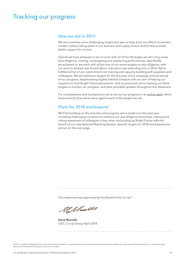# **Tracking our progress**

# How we did in 2017

We set ourselves some challenging targets last year to help drive our efforts to prevent modern slavery taking place in our business and supply chains, and to help provide better support for victims.

Overall we have achieved or are on track with 22 of the 24 targets we set in four areas (due diligence, training, campaigning and measuring performance). Specifically, we achieved or are track with all but one of our seven targets on due diligence, with our work to embed new forced labour indicators now extending into in 2018. We've fulfilled all ten of our commitments on training and capacity building with suppliers and colleagues. We set ambitious targets for the first year of our campaign and are proud of our progress, despite being slightly behind schedule with our aim of helping our suppliers to host Bright Future placements. And as promised, we're meeting our three targets to monitor our progress, and have provided updates throughout this Statement.

For completeness and transparency we've set out our progress in an online table, which shows exactly how we've done against each of the targets we set.

## Plans for 2018 and beyond

We'll be building on the activities and progress we've made over the past year, including challenging ourselves to enhance our due diligence processes; training and raising awareness of colleagues in key roles; and scaling up Bright Future with the launch of our new National Matching System. Specific targets for 2018 and beyond are set out on the next page.

This statement was approved by the Board of the Co-op<sup>33</sup>

Stillandes

**Steve Murrells** CEO, Co-op Group April 2018

33 This includes the Boards of Co-operative Group Limited, Co-operative Group Food Limited, Funeral Services Limited, Co-operatives E-Store Limited, Co-operative Legal Services Limited and CIS General Insurance Limited.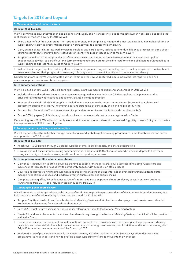# **Targets for 2018 and beyond**

#### **1. Managing the risk of modern slavery**

#### **(a) In our food business**

We will continue to drive innovation in due diligence and supply chain transparency, and to mitigate human rights risks and tackle the root causes of modern slavery. In 2018 we will:

- Share details of our food own-brand Tier 1 production sites, and our plans to mitigate the most significant human rights risks in our supply chain, to provide greater transparency on our activities to address modern slavery
- Carry out ten pilots to integrate worker voice technology and participatory techniques into due diligence processes in three of our sourcing countries, to improve our effectiveness in identifying hidden issues such as modern slavery
- Support the roll out of labour provider certification in the UK, and embed responsible recruitment training in our supplier engagement activities, as part of our long-term commitment to promote responsible recruitment and eliminate recruitment fees in supply chains to address root causes of modern slavery
- Roll out the Stronger Together Tackling Modern Slavery Programme Progress Reporting Tool to our key suppliers, to enable them to measure and report their progress in developing robust systems to prevent, identify and combat modern slavery

Outstanding from 2017: We will complete our work to embed the new Sedex forced labour indicators into reporting and risk assessment processes for own-brand suppliers.

#### **(b) In our other operations**

We will embed our new GSNFR Ethical Sourcing Strategy in procurement and supplier management. In 2018 we will:

- Include ethics and modern slavery in governance meetings with our key, high-risk GSNFR suppliers to help manage risks, drive improvements where needed and identify examples of good practice
- Request all new high-risk GSNFR suppliers including in our insurance business to register on Sedex and complete a selfassessment questionnaire (SAQ) to improve our understanding of our supply chain and help identify risks
- Ensure all our Funeralcare Tier 1 masonry service providers are registered on Sedex and complete an SAQ
- Ensure 30% (by spend) of third-party brand suppliers to our electricals business are registered on Sedex

Outstanding from 2017: We will also complete our work to embed modern slaveryin our revised Eligibility to Work Policy, and to review the way we use our SPSP in due diligence.

#### **2. Training, capacity building and collaboration**

We will embed ethical trade further through our colleague and global supplier training programmes in our food business and across our operations. In 2018 we will:

#### **(a) In our food business**

- Reach over 1,000 people through 20 global supplier events, to build capacity and share best practice
- Develop and roll-out awareness-raising communications to around 50,000 colleagues in food stores and depots to help them recognise the signs of modern slavery and know how to report any concerns

#### **(b) In our procurement, HR and other operations:**

- Deliver our 'Introduction to ethical sourcing training' to supplier managers across our businesses (including Funeralcare and Insurance), to increase their capability to confidently engage with suppliers on ethical issues
- Develop and deliver training to procurement and supplier managers on using information provided through Sedex to better manage risks of labour abuses and modern slavery in our business and supply chains
- Complete training of key HR colleagues to identify, report and manage potential modern slavery cases in our own business [outstanding from 2017], and include in team inductions from 2018

**3. Campaigning on modern slavery**

We will continue to scale-up and assess the impact of Bright Future (building on the findings of the interim independent review), and help more victims of modern slavery to move into paid work. In 2018 we will:

- Support City Hearts to build and launch a National Matching System to link charities and employers, and create new and varied Bright Future placements for victims throughout the UK
- Recruit 20 Bright Future business partners and 20 referring partners to the National Matching System
- Create 85 paid work placements for victims of modern slavery through the National Matching System, of which 45 will be provided within the Co-op
- Commission a second independent evaluation of Bright Future to help provide insight into the impact the programme is having on victims and other stakeholders, build an evidence base for better government support for victims, and inform our strategy for Bright Future to become independent of the Co-op by 2020
- Explore the use of pre-employment skills training for victims, including working with the Sophie Hayes Foundation Day 46 programme, to help understand how to provide better support for victims to move into the workplace